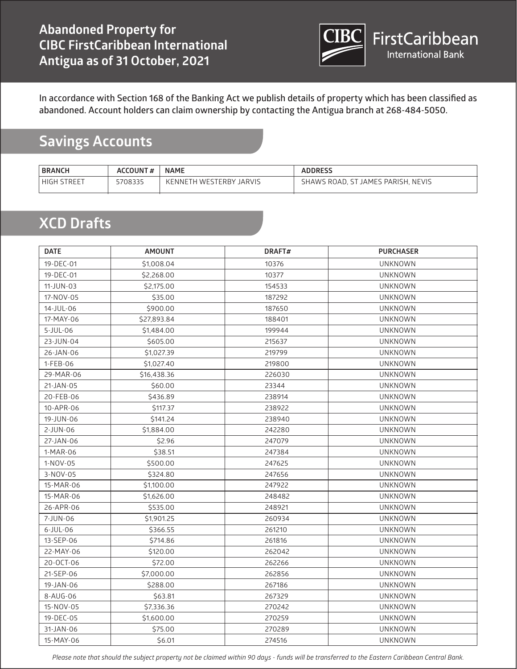

#### **Savings Accounts**

| <b>BRANCH</b>         | <b>ACCOUNT#</b> | <b>NAME</b>                        | <b>ADDRESS</b>                                     |
|-----------------------|-----------------|------------------------------------|----------------------------------------------------|
| <b>STREET</b><br>HIGH | 5708335         | <b>JARVIS</b><br>KENNETH WESTERBY. | <b>NEVIS</b><br>`. ST JAMES PARISH.<br>SHAWS ROAD. |

#### **XCD Drafts**

| <b>DATE</b> | <b>AMOUNT</b> | DRAFT# | <b>PURCHASER</b> |
|-------------|---------------|--------|------------------|
| 19-DEC-01   | \$1,008.04    | 10376  | <b>UNKNOWN</b>   |
| 19-DEC-01   | \$2,268.00    | 10377  | <b>UNKNOWN</b>   |
| 11-JUN-03   | \$2,175.00    | 154533 | <b>UNKNOWN</b>   |
| 17-NOV-05   | \$35.00       | 187292 | <b>UNKNOWN</b>   |
| 14-JUL-06   | \$900.00      | 187650 | <b>UNKNOWN</b>   |
| 17-MAY-06   | \$27,893.84   | 188401 | <b>UNKNOWN</b>   |
| $5$ -JUL-06 | \$1,484.00    | 199944 | <b>UNKNOWN</b>   |
| 23-JUN-04   | \$605.00      | 215637 | <b>UNKNOWN</b>   |
| 26-JAN-06   | \$1,027.39    | 219799 | UNKNOWN          |
| 1-FEB-06    | \$1,027.40    | 219800 | <b>UNKNOWN</b>   |
| 29-MAR-06   | \$16,438.36   | 226030 | UNKNOWN          |
| 21-JAN-05   | \$60.00       | 23344  | UNKNOWN          |
| 20-FEB-06   | \$436.89      | 238914 | <b>UNKNOWN</b>   |
| 10-APR-06   | \$117.37      | 238922 | <b>UNKNOWN</b>   |
| 19-JUN-06   | \$141.24      | 238940 | <b>UNKNOWN</b>   |
| 2-JUN-06    | \$1,884.00    | 242280 | <b>UNKNOWN</b>   |
| 27-JAN-06   | \$2.96        | 247079 | <b>UNKNOWN</b>   |
| 1-MAR-06    | \$38.51       | 247384 | <b>UNKNOWN</b>   |
| 1-NOV-05    | \$500.00      | 247625 | <b>UNKNOWN</b>   |
| 3-NOV-05    | \$324.80      | 247656 | <b>UNKNOWN</b>   |
| 15-MAR-06   | \$1,100.00    | 247922 | <b>UNKNOWN</b>   |
| 15-MAR-06   | \$1,626.00    | 248482 | <b>UNKNOWN</b>   |
| 26-APR-06   | \$535.00      | 248921 | <b>UNKNOWN</b>   |
| 7-JUN-06    | \$1,901.25    | 260934 | <b>UNKNOWN</b>   |
| 6-JUL-06    | \$366.55      | 261210 | <b>UNKNOWN</b>   |
| 13-SEP-06   | \$714.86      | 261816 | <b>UNKNOWN</b>   |
| 22-MAY-06   | \$120.00      | 262042 | <b>UNKNOWN</b>   |
| 20-OCT-06   | \$72.00       | 262266 | <b>UNKNOWN</b>   |
| 21-SEP-06   | \$7,000.00    | 262856 | <b>UNKNOWN</b>   |
| 19-JAN-06   | \$288.00      | 267186 | <b>UNKNOWN</b>   |
| 8-AUG-06    | \$63.81       | 267329 | <b>UNKNOWN</b>   |
| 15-NOV-05   | \$7,336.36    | 270242 | <b>UNKNOWN</b>   |
| 19-DEC-05   | \$1,600.00    | 270259 | <b>UNKNOWN</b>   |
| 31-JAN-06   | \$75.00       | 270289 | <b>UNKNOWN</b>   |
| 15-MAY-06   | \$6.01        | 274516 | <b>UNKNOWN</b>   |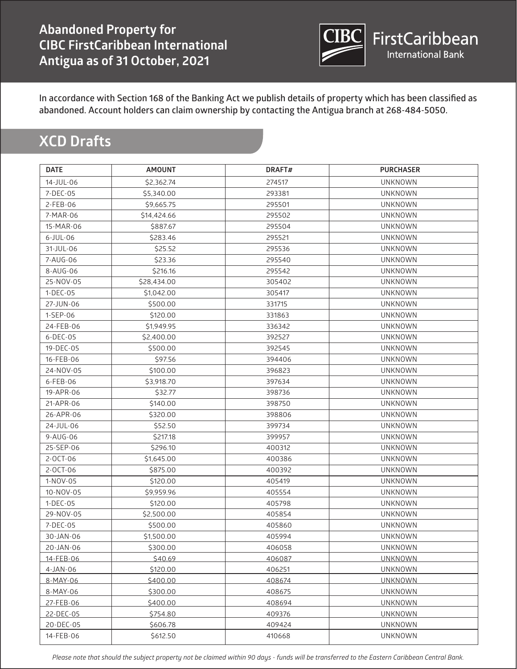

# **XCD Drafts**

| <b>DATE</b> | <b>AMOUNT</b> | DRAFT# | <b>PURCHASER</b> |
|-------------|---------------|--------|------------------|
| 14-JUL-06   | \$2,362.74    | 274517 | <b>UNKNOWN</b>   |
| 7-DEC-05    | \$5,340.00    | 293381 | <b>UNKNOWN</b>   |
| 2-FEB-06    | \$9,665.75    | 295501 | <b>UNKNOWN</b>   |
| 7-MAR-06    | \$14,424.66   | 295502 | <b>UNKNOWN</b>   |
| 15-MAR-06   | \$887.67      | 295504 | <b>UNKNOWN</b>   |
| $6$ -JUL-06 | \$283.46      | 295521 | <b>UNKNOWN</b>   |
| 31-JUL-06   | \$25.52       | 295536 | <b>UNKNOWN</b>   |
| 7-AUG-06    | \$23.36       | 295540 | <b>UNKNOWN</b>   |
| 8-AUG-06    | \$216.16      | 295542 | <b>UNKNOWN</b>   |
| 25-NOV-05   | \$28,434.00   | 305402 | <b>UNKNOWN</b>   |
| 1-DEC-05    | \$1,042.00    | 305417 | <b>UNKNOWN</b>   |
| 27-JUN-06   | \$500.00      | 331715 | <b>UNKNOWN</b>   |
| 1-SEP-06    | \$120.00      | 331863 | <b>UNKNOWN</b>   |
| 24-FEB-06   | \$1,949.95    | 336342 | <b>UNKNOWN</b>   |
| $6$ -DEC-05 | \$2,400.00    | 392527 | <b>UNKNOWN</b>   |
| 19-DEC-05   | \$500.00      | 392545 | <b>UNKNOWN</b>   |
| 16-FEB-06   | \$97.56       | 394406 | <b>UNKNOWN</b>   |
| 24-NOV-05   | \$100.00      | 396823 | <b>UNKNOWN</b>   |
| 6-FEB-06    | \$3,918.70    | 397634 | <b>UNKNOWN</b>   |
| 19-APR-06   | \$32.77       | 398736 | <b>UNKNOWN</b>   |
| 21-APR-06   | \$140.00      | 398750 | <b>UNKNOWN</b>   |
| 26-APR-06   | \$320.00      | 398806 | <b>UNKNOWN</b>   |
| 24-JUL-06   | \$52.50       | 399734 | <b>UNKNOWN</b>   |
| 9-AUG-06    | \$217.18      | 399957 | <b>UNKNOWN</b>   |
| 25-SEP-06   | \$296.10      | 400312 | <b>UNKNOWN</b>   |
| 2-OCT-06    | \$1,645.00    | 400386 | <b>UNKNOWN</b>   |
| 2-OCT-06    | \$875.00      | 400392 | <b>UNKNOWN</b>   |
| 1-NOV-05    | \$120.00      | 405419 | <b>UNKNOWN</b>   |
| 10-NOV-05   | \$9,959.96    | 405554 | <b>UNKNOWN</b>   |
| 1-DEC-05    | \$120.00      | 405798 | <b>UNKNOWN</b>   |
| 29-NOV-05   | \$2,500.00    | 405854 | <b>UNKNOWN</b>   |
| 7-DEC-05    | \$500.00      | 405860 | <b>UNKNOWN</b>   |
| 30-JAN-06   | \$1,500.00    | 405994 | <b>UNKNOWN</b>   |
| 20-JAN-06   | \$300.00      | 406058 | <b>UNKNOWN</b>   |
| 14-FEB-06   | \$40.69       | 406087 | <b>UNKNOWN</b>   |
| 4-JAN-06    | \$120.00      | 406251 | <b>UNKNOWN</b>   |
| 8-MAY-06    | \$400.00      | 408674 | <b>UNKNOWN</b>   |
| 8-MAY-06    | \$300.00      | 408675 | <b>UNKNOWN</b>   |
| 27-FEB-06   | \$400.00      | 408694 | <b>UNKNOWN</b>   |
| 22-DEC-05   | \$754.80      | 409376 | <b>UNKNOWN</b>   |
| 20-DEC-05   | \$606.78      | 409424 | <b>UNKNOWN</b>   |
| 14-FEB-06   | \$612.50      | 410668 | <b>UNKNOWN</b>   |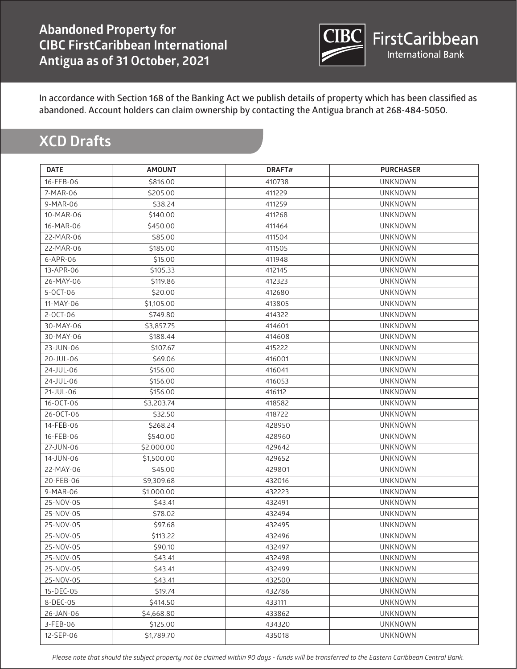

# **XCD Drafts**

| <b>DATE</b> | <b>AMOUNT</b> | DRAFT# | <b>PURCHASER</b> |
|-------------|---------------|--------|------------------|
| 16-FEB-06   | \$816.00      | 410738 | <b>UNKNOWN</b>   |
| 7-MAR-06    | \$205.00      | 411229 | <b>UNKNOWN</b>   |
| 9-MAR-06    | \$38.24       | 411259 | <b>UNKNOWN</b>   |
| 10-MAR-06   | \$140.00      | 411268 | <b>UNKNOWN</b>   |
| 16-MAR-06   | \$450.00      | 411464 | <b>UNKNOWN</b>   |
| 22-MAR-06   | \$85.00       | 411504 | <b>UNKNOWN</b>   |
| 22-MAR-06   | \$185.00      | 411505 | <b>UNKNOWN</b>   |
| 6-APR-06    | \$15.00       | 411948 | <b>UNKNOWN</b>   |
| 13-APR-06   | \$105.33      | 412145 | <b>UNKNOWN</b>   |
| 26-MAY-06   | \$119.86      | 412323 | <b>UNKNOWN</b>   |
| 5-OCT-06    | \$20.00       | 412680 | <b>UNKNOWN</b>   |
| 11-MAY-06   | \$1,105.00    | 413805 | <b>UNKNOWN</b>   |
| 2-OCT-06    | \$749.80      | 414322 | <b>UNKNOWN</b>   |
| 30-MAY-06   | \$3,857.75    | 414601 | <b>UNKNOWN</b>   |
| 30-MAY-06   | \$188.44      | 414608 | <b>UNKNOWN</b>   |
| 23-JUN-06   | \$107.67      | 415222 | <b>UNKNOWN</b>   |
| 20-JUL-06   | \$69.06       | 416001 | <b>UNKNOWN</b>   |
| 24-JUL-06   | \$156.00      | 416041 | <b>UNKNOWN</b>   |
| 24-JUL-06   | \$156.00      | 416053 | <b>UNKNOWN</b>   |
| 21-JUL-06   | \$156.00      | 416112 | <b>UNKNOWN</b>   |
| 16-OCT-06   | \$3,203.74    | 418582 | <b>UNKNOWN</b>   |
| 26-OCT-06   | \$32.50       | 418722 | <b>UNKNOWN</b>   |
| 14-FEB-06   | \$268.24      | 428950 | <b>UNKNOWN</b>   |
| 16-FEB-06   | \$540.00      | 428960 | <b>UNKNOWN</b>   |
| 27-JUN-06   | \$2,000.00    | 429642 | <b>UNKNOWN</b>   |
| 14-JUN-06   | \$1,500.00    | 429652 | <b>UNKNOWN</b>   |
| 22-MAY-06   | \$45.00       | 429801 | <b>UNKNOWN</b>   |
| 20-FEB-06   | \$9,309.68    | 432016 | <b>UNKNOWN</b>   |
| 9-MAR-06    | \$1,000.00    | 432223 | <b>UNKNOWN</b>   |
| 25-NOV-05   | \$43.41       | 432491 | <b>UNKNOWN</b>   |
| 25-NOV-05   | \$78.02       | 432494 | <b>UNKNOWN</b>   |
| 25-NOV-05   | \$97.68       | 432495 | <b>UNKNOWN</b>   |
| 25-NOV-05   | \$113.22      | 432496 | <b>UNKNOWN</b>   |
| 25-NOV-05   | \$90.10       | 432497 | <b>UNKNOWN</b>   |
| 25-NOV-05   | \$43.41       | 432498 | <b>UNKNOWN</b>   |
| 25-NOV-05   | \$43.41       | 432499 | <b>UNKNOWN</b>   |
| 25-NOV-05   | \$43.41       | 432500 | <b>UNKNOWN</b>   |
| 15-DEC-05   | \$19.74       | 432786 | <b>UNKNOWN</b>   |
| 8-DEC-05    | \$414.50      | 433111 | <b>UNKNOWN</b>   |
| 26-JAN-06   | \$4,668.80    | 433862 | <b>UNKNOWN</b>   |
| 3-FEB-06    | \$125.00      | 434320 | <b>UNKNOWN</b>   |
| 12-SEP-06   | \$1,789.70    | 435018 | <b>UNKNOWN</b>   |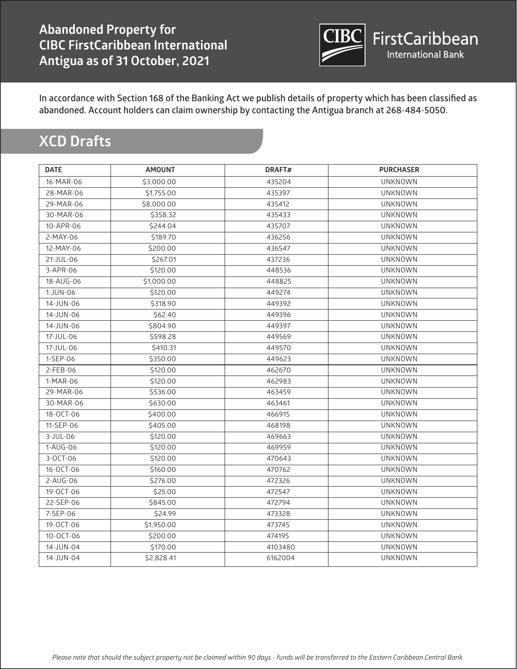

# **XCD Drafts**

| <b>DATE</b>     | <b>AMOUNT</b> | DRAFT#  | <b>PURCHASER</b> |
|-----------------|---------------|---------|------------------|
| 16-MAR-06       | \$3,000.00    | 435204  | <b>UNKNOWN</b>   |
| 28-MAR-06       | \$1,755.00    | 435397  | <b>UNKNOWN</b>   |
| 29-MAR-06       | \$8,000.00    | 435412  | <b>UNKNOWN</b>   |
| 30-MAR-06       | \$358.32      | 435433  | <b>UNKNOWN</b>   |
| 10-APR-06       | \$244.04      | 435707  | <b>UNKNOWN</b>   |
| 2-MAY-06        | \$189.70      | 436256  | <b>UNKNOWN</b>   |
| 12-MAY-06       | \$200.00      | 436547  | <b>UNKNOWN</b>   |
| 21-JUL-06       | \$267.01      | 437236  | <b>UNKNOWN</b>   |
| 3-APR-06        | \$120.00      | 448536  | <b>UNKNOWN</b>   |
| 18-AUG-06       | \$1,000.00    | 448825  | <b>UNKNOWN</b>   |
| 1-JUN-06        | \$120.00      | 449274  | <b>UNKNOWN</b>   |
| 14-JUN-06       | \$318.90      | 449392  | <b>UNKNOWN</b>   |
| 14-JUN-06       | \$62.40       | 449396  | <b>UNKNOWN</b>   |
| 14-JUN-06       | \$804.90      | 449397  | <b>UNKNOWN</b>   |
| 17-JUL-06       | \$598.28      | 449569  | <b>UNKNOWN</b>   |
| 17-JUL-06       | \$410.31      | 449570  | <b>UNKNOWN</b>   |
| 1-SEP-06        | \$350.00      | 449623  | <b>UNKNOWN</b>   |
| 2-FEB-06        | \$120.00      | 462670  | <b>UNKNOWN</b>   |
| 1-MAR-06        | \$120.00      | 462983  | <b>UNKNOWN</b>   |
| 29-MAR-06       | \$536.00      | 463459  | <b>UNKNOWN</b>   |
| 30-MAR-06       | \$630.00      | 463461  | <b>UNKNOWN</b>   |
| 18-OCT-06       | \$400.00      | 466915  | <b>UNKNOWN</b>   |
| 11-SEP-06       | \$405.00      | 468198  | <b>UNKNOWN</b>   |
| $3-JUL-06$      | \$120.00      | 469663  | <b>UNKNOWN</b>   |
| 1-AUG-06        | \$120.00      | 469959  | <b>UNKNOWN</b>   |
| 3-OCT-06        | \$120.00      | 470643  | <b>UNKNOWN</b>   |
| 16-OCT-06       | \$160.00      | 470762  | <b>UNKNOWN</b>   |
| $2 - A UG - 06$ | \$276.00      | 472326  | <b>UNKNOWN</b>   |
| 19-0CT-06       | \$25.00       | 472547  | <b>UNKNOWN</b>   |
| 22-SEP-06       | \$845.00      | 472794  | <b>UNKNOWN</b>   |
| 7-SEP-06        | \$24.99       | 473328  | <b>UNKNOWN</b>   |
| 19-OCT-06       | \$1,950.00    | 473745  | <b>UNKNOWN</b>   |
| 10-OCT-06       | \$200.00      | 474195  | <b>UNKNOWN</b>   |
| 14-JUN-04       | \$170.00      | 4103480 | <b>UNKNOWN</b>   |
| 14-JUN-04       | \$2,828.41    | 6162004 | <b>UNKNOWN</b>   |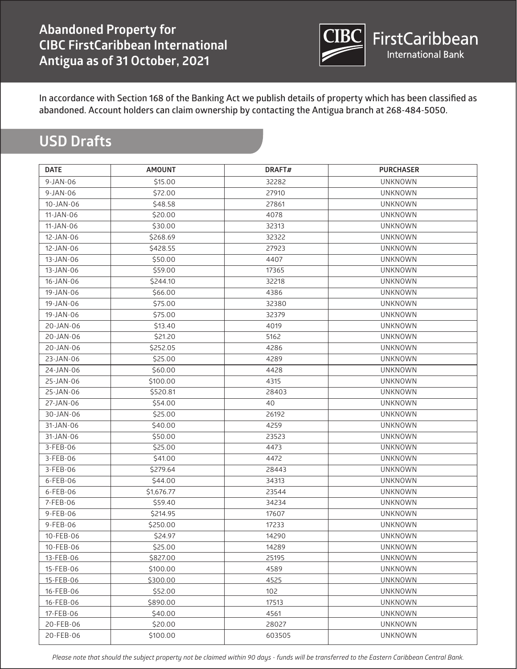

# **USD Drafts**

| <b>DATE</b> | <b>AMOUNT</b> | DRAFT# | <b>PURCHASER</b> |
|-------------|---------------|--------|------------------|
| $9-JAN-06$  | \$15.00       | 32282  | <b>UNKNOWN</b>   |
| $9-JAN-06$  | \$72.00       | 27910  | <b>UNKNOWN</b>   |
| 10-JAN-06   | \$48.58       | 27861  | <b>UNKNOWN</b>   |
| 11-JAN-06   | \$20.00       | 4078   | <b>UNKNOWN</b>   |
| 11-JAN-06   | \$30.00       | 32313  | <b>UNKNOWN</b>   |
| 12-JAN-06   | \$268.69      | 32322  | <b>UNKNOWN</b>   |
| 12-JAN-06   | \$428.55      | 27923  | <b>UNKNOWN</b>   |
| 13-JAN-06   | \$50.00       | 4407   | <b>UNKNOWN</b>   |
| 13-JAN-06   | \$59.00       | 17365  | <b>UNKNOWN</b>   |
| 16-JAN-06   | \$244.10      | 32218  | <b>UNKNOWN</b>   |
| 19-JAN-06   | \$66.00       | 4386   | <b>UNKNOWN</b>   |
| 19-JAN-06   | \$75.00       | 32380  | <b>UNKNOWN</b>   |
| 19-JAN-06   | \$75.00       | 32379  | <b>UNKNOWN</b>   |
| 20-JAN-06   | \$13.40       | 4019   | <b>UNKNOWN</b>   |
| 20-JAN-06   | \$21.20       | 5162   | <b>UNKNOWN</b>   |
| 20-JAN-06   | \$252.05      | 4286   | <b>UNKNOWN</b>   |
| 23-JAN-06   | \$25.00       | 4289   | <b>UNKNOWN</b>   |
| 24-JAN-06   | \$60.00       | 4428   | <b>UNKNOWN</b>   |
| 25-JAN-06   | \$100.00      | 4315   | <b>UNKNOWN</b>   |
| 25-JAN-06   | \$520.81      | 28403  | <b>UNKNOWN</b>   |
| 27-JAN-06   | \$54.00       | 40     | <b>UNKNOWN</b>   |
| 30-JAN-06   | \$25.00       | 26192  | <b>UNKNOWN</b>   |
| 31-JAN-06   | \$40.00       | 4259   | <b>UNKNOWN</b>   |
| 31-JAN-06   | \$50.00       | 23523  | <b>UNKNOWN</b>   |
| 3-FEB-06    | \$25.00       | 4473   | <b>UNKNOWN</b>   |
| 3-FEB-06    | \$41.00       | 4472   | <b>UNKNOWN</b>   |
| 3-FEB-06    | \$279.64      | 28443  | <b>UNKNOWN</b>   |
| 6-FEB-06    | \$44.00       | 34313  | <b>UNKNOWN</b>   |
| 6-FEB-06    | \$1,676.77    | 23544  | <b>UNKNOWN</b>   |
| 7-FEB-06    | \$59.40       | 34234  | <b>UNKNOWN</b>   |
| 9-FEB-06    | \$214.95      | 17607  | <b>UNKNOWN</b>   |
| 9-FEB-06    | \$250.00      | 17233  | <b>UNKNOWN</b>   |
| 10-FEB-06   | \$24.97       | 14290  | <b>UNKNOWN</b>   |
| 10-FEB-06   | \$25.00       | 14289  | <b>UNKNOWN</b>   |
| 13-FEB-06   | \$827.00      | 25195  | <b>UNKNOWN</b>   |
| 15-FEB-06   | \$100.00      | 4589   | <b>UNKNOWN</b>   |
| 15-FEB-06   | \$300.00      | 4525   | <b>UNKNOWN</b>   |
| 16-FEB-06   | \$52.00       | 102    | <b>UNKNOWN</b>   |
| 16-FEB-06   | \$890.00      | 17513  | <b>UNKNOWN</b>   |
| 17-FEB-06   | \$40.00       | 4561   | <b>UNKNOWN</b>   |
| 20-FEB-06   | \$20.00       | 28027  | <b>UNKNOWN</b>   |
| 20-FEB-06   | \$100.00      | 603505 | UNKNOWN          |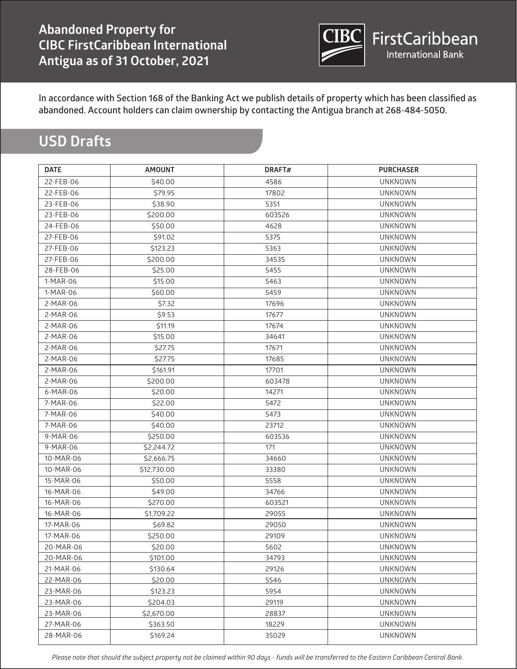

# **USD Drafts**

| <b>DATE</b> | <b>AMOUNT</b> | DRAFT# | <b>PURCHASER</b> |  |
|-------------|---------------|--------|------------------|--|
| 22-FEB-06   | \$40.00       | 4586   | <b>UNKNOWN</b>   |  |
| 22-FEB-06   | \$79.95       | 17802  | <b>UNKNOWN</b>   |  |
| 23-FEB-06   | \$38.90       | 5351   | <b>UNKNOWN</b>   |  |
| 23-FEB-06   | \$200.00      | 603526 | <b>UNKNOWN</b>   |  |
| 24-FEB-06   | \$50.00       | 4628   | <b>UNKNOWN</b>   |  |
| 27-FEB-06   | \$91.02       | 5375   | <b>UNKNOWN</b>   |  |
| 27-FEB-06   | \$123.23      | 5363   | <b>UNKNOWN</b>   |  |
| 27-FEB-06   | \$200.00      | 34535  | <b>UNKNOWN</b>   |  |
| 28-FEB-06   | \$25.00       | 5455   | <b>UNKNOWN</b>   |  |
| 1-MAR-06    | \$15.00       | 5463   | <b>UNKNOWN</b>   |  |
| 1-MAR-06    | \$60.00       | 5459   | <b>UNKNOWN</b>   |  |
| 2-MAR-06    | \$7.32        | 17696  | <b>UNKNOWN</b>   |  |
| 2-MAR-06    | \$9.53        | 17677  | <b>UNKNOWN</b>   |  |
| 2-MAR-06    | \$11.19       | 17674  | <b>UNKNOWN</b>   |  |
| 2-MAR-06    | \$15.00       | 34641  | <b>UNKNOWN</b>   |  |
| 2-MAR-06    | \$27.75       | 17671  | <b>UNKNOWN</b>   |  |
| 2-MAR-06    | \$27.75       | 17685  | <b>UNKNOWN</b>   |  |
| 2-MAR-06    | \$161.91      | 17701  | <b>UNKNOWN</b>   |  |
| 2-MAR-06    | \$200.00      | 603478 | <b>UNKNOWN</b>   |  |
| 6-MAR-06    | \$20.00       | 14271  | <b>UNKNOWN</b>   |  |
| 7-MAR-06    | \$22.00       | 5472   | <b>UNKNOWN</b>   |  |
| 7-MAR-06    | \$40.00       | 5473   | <b>UNKNOWN</b>   |  |
| 7-MAR-06    | \$40.00       | 23712  | <b>UNKNOWN</b>   |  |
| 9-MAR-06    | \$250.00      | 603536 | <b>UNKNOWN</b>   |  |
| $9-MAR-06$  | \$2,244.72    | 171    | <b>UNKNOWN</b>   |  |
| 10-MAR-06   | \$2,666.75    | 34660  | <b>UNKNOWN</b>   |  |
| 10-MAR-06   | \$12,730.00   | 33380  | <b>UNKNOWN</b>   |  |
| 15-MAR-06   | \$50.00       | 5558   | <b>UNKNOWN</b>   |  |
| 16-MAR-06   | \$49.00       | 34766  | <b>UNKNOWN</b>   |  |
| 16-MAR-06   | \$270.00      | 603521 | <b>UNKNOWN</b>   |  |
| 16-MAR-06   | \$1,709.22    | 29055  | <b>UNKNOWN</b>   |  |
| 17-MAR-06   | \$69.82       | 29050  | <b>UNKNOWN</b>   |  |
| 17-MAR-06   | \$250.00      | 29109  | <b>UNKNOWN</b>   |  |
| 20-MAR-06   | \$20.00       | 5602   | <b>UNKNOWN</b>   |  |
| 20-MAR-06   | \$101.00      | 34793  | <b>UNKNOWN</b>   |  |
| 21-MAR-06   | \$130.64      | 29126  | <b>UNKNOWN</b>   |  |
| 22-MAR-06   | \$20.00       | 5546   | <b>UNKNOWN</b>   |  |
| 23-MAR-06   | \$123.23      | 5954   | <b>UNKNOWN</b>   |  |
| 23-MAR-06   | \$204.03      | 29119  | <b>UNKNOWN</b>   |  |
| 23-MAR-06   | \$2,670.00    | 28837  | <b>UNKNOWN</b>   |  |
| 27-MAR-06   | \$363.50      | 18229  | <b>UNKNOWN</b>   |  |
| 28-MAR-06   | \$169.24      | 35029  | <b>UNKNOWN</b>   |  |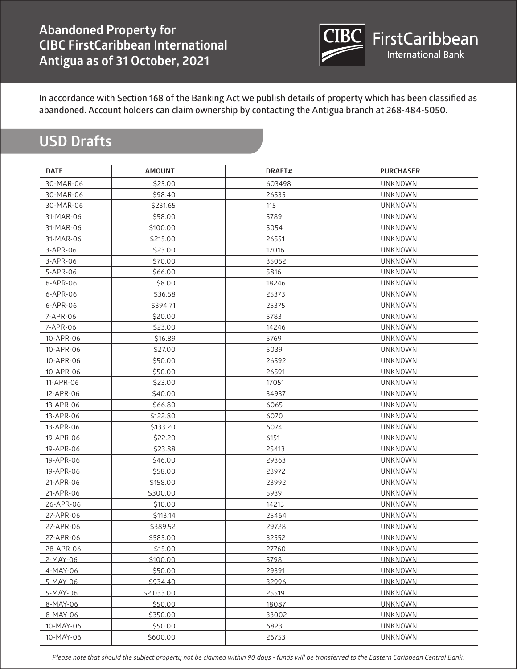

# **USD Drafts**

| <b>DATE</b> | <b>AMOUNT</b> | DRAFT# | <b>PURCHASER</b> |
|-------------|---------------|--------|------------------|
| 30-MAR-06   | \$25.00       | 603498 | <b>UNKNOWN</b>   |
| 30-MAR-06   | \$98.40       | 26535  | <b>UNKNOWN</b>   |
| 30-MAR-06   | \$231.65      | 115    | <b>UNKNOWN</b>   |
| 31-MAR-06   | \$58.00       | 5789   | <b>UNKNOWN</b>   |
| 31-MAR-06   | \$100.00      | 5054   | <b>UNKNOWN</b>   |
| 31-MAR-06   | \$215.00      | 26551  | <b>UNKNOWN</b>   |
| 3-APR-06    | \$23.00       | 17016  | <b>UNKNOWN</b>   |
| 3-APR-06    | \$70.00       | 35052  | <b>UNKNOWN</b>   |
| 5-APR-06    | \$66.00       | 5816   | <b>UNKNOWN</b>   |
| 6-APR-06    | \$8.00        | 18246  | <b>UNKNOWN</b>   |
| 6-APR-06    | \$36.58       | 25373  | <b>UNKNOWN</b>   |
| 6-APR-06    | \$394.71      | 25375  | <b>UNKNOWN</b>   |
| 7-APR-06    | \$20.00       | 5783   | <b>UNKNOWN</b>   |
| 7-APR-06    | \$23.00       | 14246  | <b>UNKNOWN</b>   |
| 10-APR-06   | \$16.89       | 5769   | <b>UNKNOWN</b>   |
| 10-APR-06   | \$27.00       | 5039   | <b>UNKNOWN</b>   |
| 10-APR-06   | \$50.00       | 26592  | <b>UNKNOWN</b>   |
| 10-APR-06   | \$50.00       | 26591  | <b>UNKNOWN</b>   |
| 11-APR-06   | \$23.00       | 17051  | <b>UNKNOWN</b>   |
| 12-APR-06   | \$40.00       | 34937  | <b>UNKNOWN</b>   |
| 13-APR-06   | \$66.80       | 6065   | <b>UNKNOWN</b>   |
| 13-APR-06   | \$122.80      | 6070   | <b>UNKNOWN</b>   |
| 13-APR-06   | \$133.20      | 6074   | <b>UNKNOWN</b>   |
| 19-APR-06   | \$22.20       | 6151   | <b>UNKNOWN</b>   |
| 19-APR-06   | \$23.88       | 25413  | <b>UNKNOWN</b>   |
| 19-APR-06   | \$46.00       | 29363  | <b>UNKNOWN</b>   |
| 19-APR-06   | \$58.00       | 23972  | <b>UNKNOWN</b>   |
| 21-APR-06   | \$158.00      | 23992  | <b>UNKNOWN</b>   |
| 21-APR-06   | \$300.00      | 5939   | <b>UNKNOWN</b>   |
| 26-APR-06   | \$10.00       | 14213  | <b>UNKNOWN</b>   |
| 27-APR-06   | \$113.14      | 25464  | <b>UNKNOWN</b>   |
| 27-APR-06   | \$389.52      | 29728  | <b>UNKNOWN</b>   |
| 27-APR-06   | \$585.00      | 32552  | <b>UNKNOWN</b>   |
| 28-APR-06   | \$15.00       | 27760  | <b>UNKNOWN</b>   |
| 2-MAY-06    | \$100.00      | 5798   | <b>UNKNOWN</b>   |
| 4-MAY-06    | \$50.00       | 29391  | <b>UNKNOWN</b>   |
| 5-MAY-06    | \$934.40      | 32996  | <b>UNKNOWN</b>   |
| 5-MAY-06    | \$2,033.00    | 25519  | <b>UNKNOWN</b>   |
| 8-MAY-06    | \$50.00       | 18087  | <b>UNKNOWN</b>   |
| 8-MAY-06    | \$350.00      | 33002  | <b>UNKNOWN</b>   |
| 10-MAY-06   | \$50.00       | 6823   | <b>UNKNOWN</b>   |
| 10-MAY-06   | \$600.00      | 26753  | <b>UNKNOWN</b>   |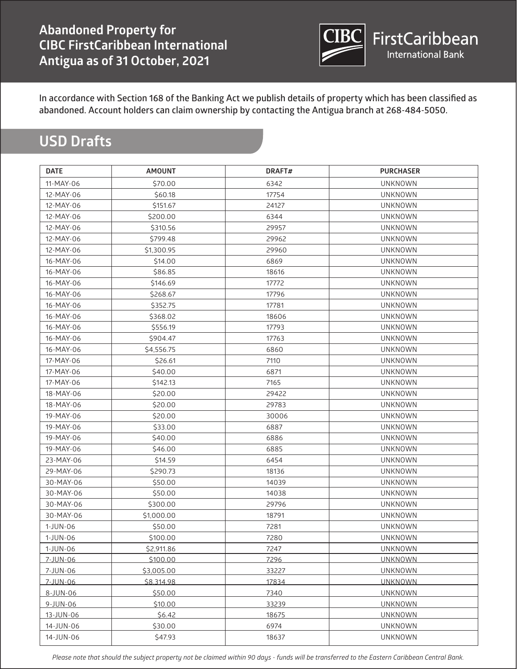

# **USD Drafts**

| <b>DATE</b> | <b>AMOUNT</b> | DRAFT# | <b>PURCHASER</b> |
|-------------|---------------|--------|------------------|
| 11-MAY-06   | \$70.00       | 6342   | <b>UNKNOWN</b>   |
| 12-MAY-06   | \$60.18       | 17754  | <b>UNKNOWN</b>   |
| 12-MAY-06   | \$151.67      | 24127  | <b>UNKNOWN</b>   |
| 12-MAY-06   | \$200.00      | 6344   | <b>UNKNOWN</b>   |
| 12-MAY-06   | \$310.56      | 29957  | <b>UNKNOWN</b>   |
| 12-MAY-06   | \$799.48      | 29962  | <b>UNKNOWN</b>   |
| 12-MAY-06   | \$1,300.95    | 29960  | <b>UNKNOWN</b>   |
| 16-MAY-06   | \$14.00       | 6869   | <b>UNKNOWN</b>   |
| 16-MAY-06   | \$86.85       | 18616  | <b>UNKNOWN</b>   |
| 16-MAY-06   | \$146.69      | 17772  | <b>UNKNOWN</b>   |
| 16-MAY-06   | \$268.67      | 17796  | <b>UNKNOWN</b>   |
| 16-MAY-06   | \$352.75      | 17781  | <b>UNKNOWN</b>   |
| 16-MAY-06   | \$368.02      | 18606  | <b>UNKNOWN</b>   |
| 16-MAY-06   | \$556.19      | 17793  | <b>UNKNOWN</b>   |
| 16-MAY-06   | \$904.47      | 17763  | <b>UNKNOWN</b>   |
| 16-MAY-06   | \$4,556.75    | 6860   | <b>UNKNOWN</b>   |
| 17-MAY-06   | \$26.61       | 7110   | <b>UNKNOWN</b>   |
| 17-MAY-06   | \$40.00       | 6871   | <b>UNKNOWN</b>   |
| 17-MAY-06   | \$142.13      | 7165   | <b>UNKNOWN</b>   |
| 18-MAY-06   | \$20.00       | 29422  | <b>UNKNOWN</b>   |
| 18-MAY-06   | \$20.00       | 29783  | <b>UNKNOWN</b>   |
| 19-MAY-06   | \$20.00       | 30006  | <b>UNKNOWN</b>   |
| 19-MAY-06   | \$33.00       | 6887   | <b>UNKNOWN</b>   |
| 19-MAY-06   | \$40.00       | 6886   | <b>UNKNOWN</b>   |
| 19-MAY-06   | \$46.00       | 6885   | <b>UNKNOWN</b>   |
| 23-MAY-06   | \$14.59       | 6454   | <b>UNKNOWN</b>   |
| 29-MAY-06   | \$290.73      | 18136  | <b>UNKNOWN</b>   |
| 30-MAY-06   | \$50.00       | 14039  | <b>UNKNOWN</b>   |
| 30-MAY-06   | \$50.00       | 14038  | <b>UNKNOWN</b>   |
| 30-MAY-06   | \$300.00      | 29796  | <b>UNKNOWN</b>   |
| 30-MAY-06   | \$1,000.00    | 18791  | <b>UNKNOWN</b>   |
| 1-JUN-06    | \$50.00       | 7281   | <b>UNKNOWN</b>   |
| 1-JUN-06    | \$100.00      | 7280   | <b>UNKNOWN</b>   |
| 1-JUN-06    | \$2,911.86    | 7247   | <b>UNKNOWN</b>   |
| 7-JUN-06    | \$100.00      | 7296   | <b>UNKNOWN</b>   |
| 7-JUN-06    | \$3,005.00    | 33227  | <b>UNKNOWN</b>   |
| 7-JUN-06    | \$8,314.98    | 17834  | <b>UNKNOWN</b>   |
| 8-JUN-06    | \$50.00       | 7340   | <b>UNKNOWN</b>   |
| 9-JUN-06    | \$10.00       | 33239  | <b>UNKNOWN</b>   |
| 13-JUN-06   | \$6.42        | 18675  | <b>UNKNOWN</b>   |
| 14-JUN-06   | \$30.00       | 6974   | <b>UNKNOWN</b>   |
| 14-JUN-06   | \$47.93       | 18637  | <b>UNKNOWN</b>   |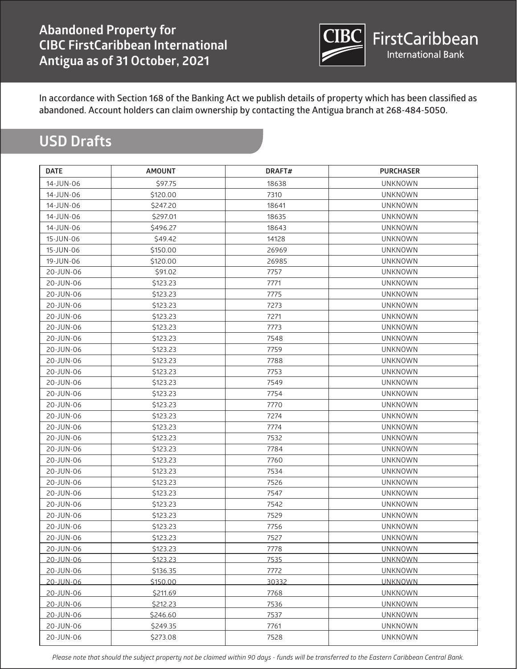

# **USD Drafts**

| <b>DATE</b> | <b>AMOUNT</b> | DRAFT# | <b>PURCHASER</b> |
|-------------|---------------|--------|------------------|
| 14-JUN-06   | \$97.75       | 18638  | <b>UNKNOWN</b>   |
| 14-JUN-06   | \$120.00      | 7310   | <b>UNKNOWN</b>   |
| 14-JUN-06   | \$247.20      | 18641  | <b>UNKNOWN</b>   |
| 14-JUN-06   | \$297.01      | 18635  | <b>UNKNOWN</b>   |
| 14-JUN-06   | \$496.27      | 18643  | <b>UNKNOWN</b>   |
| 15-JUN-06   | \$49.42       | 14128  | <b>UNKNOWN</b>   |
| 15-JUN-06   | \$150.00      | 26969  | <b>UNKNOWN</b>   |
| 19-JUN-06   | \$120.00      | 26985  | <b>UNKNOWN</b>   |
| 20-JUN-06   | \$91.02       | 7757   | <b>UNKNOWN</b>   |
| 20-JUN-06   | \$123.23      | 7771   | <b>UNKNOWN</b>   |
| 20-JUN-06   | \$123.23      | 7775   | <b>UNKNOWN</b>   |
| 20-JUN-06   | \$123.23      | 7273   | <b>UNKNOWN</b>   |
| 20-JUN-06   | \$123.23      | 7271   | <b>UNKNOWN</b>   |
| 20-JUN-06   | \$123.23      | 7773   | <b>UNKNOWN</b>   |
| 20-JUN-06   | \$123.23      | 7548   | UNKNOWN          |
| 20-JUN-06   | \$123.23      | 7759   | <b>UNKNOWN</b>   |
| 20-JUN-06   | \$123.23      | 7788   | <b>UNKNOWN</b>   |
| 20-JUN-06   | \$123.23      | 7753   | <b>UNKNOWN</b>   |
| 20-JUN-06   | \$123.23      | 7549   | <b>UNKNOWN</b>   |
| 20-JUN-06   | \$123.23      | 7754   | <b>UNKNOWN</b>   |
| 20-JUN-06   | \$123.23      | 7770   | <b>UNKNOWN</b>   |
| 20-JUN-06   | \$123.23      | 7274   | <b>UNKNOWN</b>   |
| 20-JUN-06   | \$123.23      | 7774   | <b>UNKNOWN</b>   |
| 20-JUN-06   | \$123.23      | 7532   | <b>UNKNOWN</b>   |
| 20-JUN-06   | \$123.23      | 7784   | <b>UNKNOWN</b>   |
| 20-JUN-06   | \$123.23      | 7760   | <b>UNKNOWN</b>   |
| 20-JUN-06   | \$123.23      | 7534   | <b>UNKNOWN</b>   |
| 20-JUN-06   | \$123.23      | 7526   | <b>UNKNOWN</b>   |
| 20-JUN-06   | \$123.23      | 7547   | <b>UNKNOWN</b>   |
| 20-JUN-06   | \$123.23      | 7542   | <b>UNKNOWN</b>   |
| 20-JUN-06   | \$123.23      | 7529   | <b>UNKNOWN</b>   |
| 20-JUN-06   | \$123.23      | 7756   | <b>UNKNOWN</b>   |
| 20-JUN-06   | \$123.23      | 7527   | <b>UNKNOWN</b>   |
| 20-JUN-06   | \$123.23      | 7778   | <b>UNKNOWN</b>   |
| 20-JUN-06   | \$123.23      | 7535   | <b>UNKNOWN</b>   |
| 20-JUN-06   | \$136.35      | 7772   | <b>UNKNOWN</b>   |
| 20-JUN-06   | \$150.00      | 30332  | <b>UNKNOWN</b>   |
| 20-JUN-06   | \$211.69      | 7768   | <b>UNKNOWN</b>   |
| 20-JUN-06   | \$212.23      | 7536   | <b>UNKNOWN</b>   |
| 20-JUN-06   | \$246.60      | 7537   | <b>UNKNOWN</b>   |
| 20-JUN-06   | \$249.35      | 7761   | <b>UNKNOWN</b>   |
| 20-JUN-06   | \$273.08      | 7528   | <b>UNKNOWN</b>   |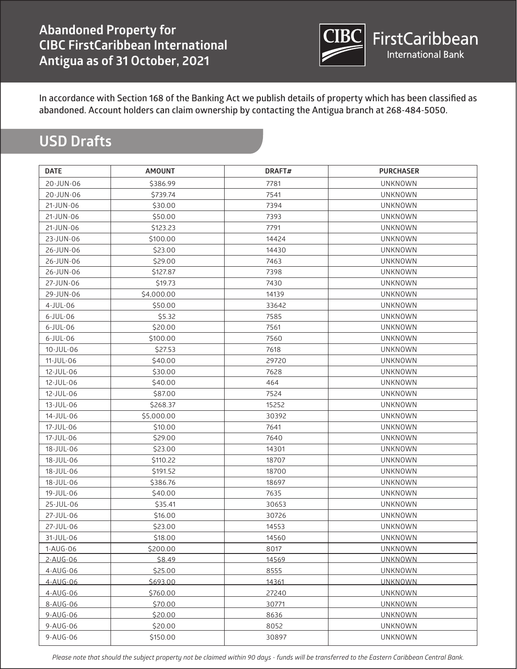

# **USD Drafts**

| <b>DATE</b> | <b>AMOUNT</b> | DRAFT# | <b>PURCHASER</b> |
|-------------|---------------|--------|------------------|
| 20-JUN-06   | \$386.99      | 7781   | <b>UNKNOWN</b>   |
| 20-JUN-06   | \$739.74      | 7541   | <b>UNKNOWN</b>   |
| 21-JUN-06   | \$30.00       | 7394   | <b>UNKNOWN</b>   |
| 21-JUN-06   | \$50.00       | 7393   | <b>UNKNOWN</b>   |
| 21-JUN-06   | \$123.23      | 7791   | <b>UNKNOWN</b>   |
| 23-JUN-06   | \$100.00      | 14424  | <b>UNKNOWN</b>   |
| 26-JUN-06   | \$23.00       | 14430  | <b>UNKNOWN</b>   |
| 26-JUN-06   | \$29.00       | 7463   | <b>UNKNOWN</b>   |
| 26-JUN-06   | \$127.87      | 7398   | <b>UNKNOWN</b>   |
| 27-JUN-06   | \$19.73       | 7430   | <b>UNKNOWN</b>   |
| 29-JUN-06   | \$4,000.00    | 14139  | <b>UNKNOWN</b>   |
| $4$ -JUL-06 | \$50.00       | 33642  | UNKNOWN          |
| $6$ -JUL-06 | \$5.32        | 7585   | <b>UNKNOWN</b>   |
| $6$ -JUL-06 | \$20.00       | 7561   | <b>UNKNOWN</b>   |
| $6$ -JUL-06 | \$100.00      | 7560   | <b>UNKNOWN</b>   |
| 10-JUL-06   | \$27.53       | 7618   | <b>UNKNOWN</b>   |
| 11-JUL-06   | \$40.00       | 29720  | <b>UNKNOWN</b>   |
| 12-JUL-06   | \$30.00       | 7628   | <b>UNKNOWN</b>   |
| 12-JUL-06   | \$40.00       | 464    | <b>UNKNOWN</b>   |
| 12-JUL-06   | \$87.00       | 7524   | <b>UNKNOWN</b>   |
| 13-JUL-06   | \$268.37      | 15252  | <b>UNKNOWN</b>   |
| 14-JUL-06   | \$5,000.00    | 30392  | <b>UNKNOWN</b>   |
| 17-JUL-06   | \$10.00       | 7641   | <b>UNKNOWN</b>   |
| 17-JUL-06   | \$29.00       | 7640   | <b>UNKNOWN</b>   |
| 18-JUL-06   | \$23.00       | 14301  | <b>UNKNOWN</b>   |
| 18-JUL-06   | \$110.22      | 18707  | <b>UNKNOWN</b>   |
| 18-JUL-06   | \$191.52      | 18700  | <b>UNKNOWN</b>   |
| 18-JUL-06   | \$386.76      | 18697  | <b>UNKNOWN</b>   |
| 19-JUL-06   | \$40.00       | 7635   | <b>UNKNOWN</b>   |
| 25-JUL-06   | \$35.41       | 30653  | <b>UNKNOWN</b>   |
| 27-JUL-06   | \$16.00       | 30726  | <b>UNKNOWN</b>   |
| 27-JUL-06   | \$23.00       | 14553  | <b>UNKNOWN</b>   |
| 31-JUL-06   | \$18.00       | 14560  | <b>UNKNOWN</b>   |
| 1-AUG-06    | \$200.00      | 8017   | <b>UNKNOWN</b>   |
| 2-AUG-06    | \$8.49        | 14569  | <b>UNKNOWN</b>   |
| 4-AUG-06    | \$25.00       | 8555   | <b>UNKNOWN</b>   |
| 4-AUG-06    | \$693.00      | 14361  | <b>UNKNOWN</b>   |
| 4-AUG-06    | \$760.00      | 27240  | <b>UNKNOWN</b>   |
| 8-AUG-06    | \$70.00       | 30771  | <b>UNKNOWN</b>   |
| 9-AUG-06    | \$20.00       | 8636   | <b>UNKNOWN</b>   |
| 9-AUG-06    | \$20.00       | 8052   | <b>UNKNOWN</b>   |
| 9-AUG-06    | \$150.00      | 30897  | <b>UNKNOWN</b>   |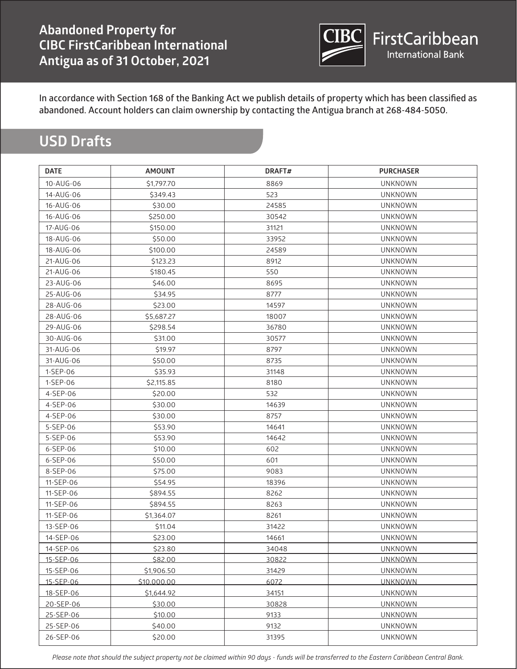

## **USD Drafts**

| <b>DATE</b> | <b>AMOUNT</b> | DRAFT# | <b>PURCHASER</b> |
|-------------|---------------|--------|------------------|
| 10-AUG-06   | \$1,797.70    | 8869   | <b>UNKNOWN</b>   |
| 14-AUG-06   | \$349.43      | 523    | <b>UNKNOWN</b>   |
| 16-AUG-06   | \$30.00       | 24585  | <b>UNKNOWN</b>   |
| 16-AUG-06   | \$250.00      | 30542  | <b>UNKNOWN</b>   |
| 17-AUG-06   | \$150.00      | 31121  | <b>UNKNOWN</b>   |
| 18-AUG-06   | \$50.00       | 33952  | <b>UNKNOWN</b>   |
| 18-AUG-06   | \$100.00      | 24589  | <b>UNKNOWN</b>   |
| 21-AUG-06   | \$123.23      | 8912   | <b>UNKNOWN</b>   |
| 21-AUG-06   | \$180.45      | 550    | <b>UNKNOWN</b>   |
| 23-AUG-06   | \$46.00       | 8695   | <b>UNKNOWN</b>   |
| 25-AUG-06   | \$34.95       | 8777   | <b>UNKNOWN</b>   |
| 28-AUG-06   | \$23.00       | 14597  | <b>UNKNOWN</b>   |
| 28-AUG-06   | \$5,687.27    | 18007  | <b>UNKNOWN</b>   |
| 29-AUG-06   | \$298.54      | 36780  | <b>UNKNOWN</b>   |
| 30-AUG-06   | \$31.00       | 30577  | <b>UNKNOWN</b>   |
| 31-AUG-06   | \$19.97       | 8797   | <b>UNKNOWN</b>   |
| 31-AUG-06   | \$50.00       | 8735   | <b>UNKNOWN</b>   |
| 1-SEP-06    | \$35.93       | 31148  | <b>UNKNOWN</b>   |
| 1-SEP-06    | \$2,115.85    | 8180   | <b>UNKNOWN</b>   |
| 4-SEP-06    | \$20.00       | 532    | <b>UNKNOWN</b>   |
| 4-SEP-06    | \$30.00       | 14639  | <b>UNKNOWN</b>   |
| 4-SEP-06    | \$30.00       | 8757   | <b>UNKNOWN</b>   |
| 5-SEP-06    | \$53.90       | 14641  | <b>UNKNOWN</b>   |
| 5-SEP-06    | \$53.90       | 14642  | <b>UNKNOWN</b>   |
| 6-SEP-06    | \$10.00       | 602    | <b>UNKNOWN</b>   |
| 6-SEP-06    | \$50.00       | 601    | <b>UNKNOWN</b>   |
| 8-SEP-06    | \$75.00       | 9083   | <b>UNKNOWN</b>   |
| 11-SEP-06   | \$54.95       | 18396  | UNKNOWN          |
| 11-SEP-06   | \$894.55      | 8262   | <b>UNKNOWN</b>   |
| 11-SEP-06   | \$894.55      | 8263   | <b>UNKNOWN</b>   |
| 11-SEP-06   | \$1,364.07    | 8261   | <b>UNKNOWN</b>   |
| 13-SEP-06   | \$11.04       | 31422  | <b>UNKNOWN</b>   |
| 14-SEP-06   | \$23.00       | 14661  | <b>UNKNOWN</b>   |
| 14-SEP-06   | \$23.80       | 34048  | <b>UNKNOWN</b>   |
| 15-SEP-06   | \$82.00       | 30822  | <b>UNKNOWN</b>   |
| 15-SEP-06   | \$1,906.50    | 31429  | <b>UNKNOWN</b>   |
| 15-SEP-06   | \$10,000.00   | 6072   | <b>UNKNOWN</b>   |
| 18-SEP-06   | \$1,644.92    | 34151  | <b>UNKNOWN</b>   |
| 20-SEP-06   | \$30.00       | 30828  | <b>UNKNOWN</b>   |
| 25-SEP-06   | \$10.00       | 9133   | <b>UNKNOWN</b>   |
| 25-SEP-06   | \$40.00       | 9132   | <b>UNKNOWN</b>   |
| 26-SEP-06   | \$20.00       | 31395  | <b>UNKNOWN</b>   |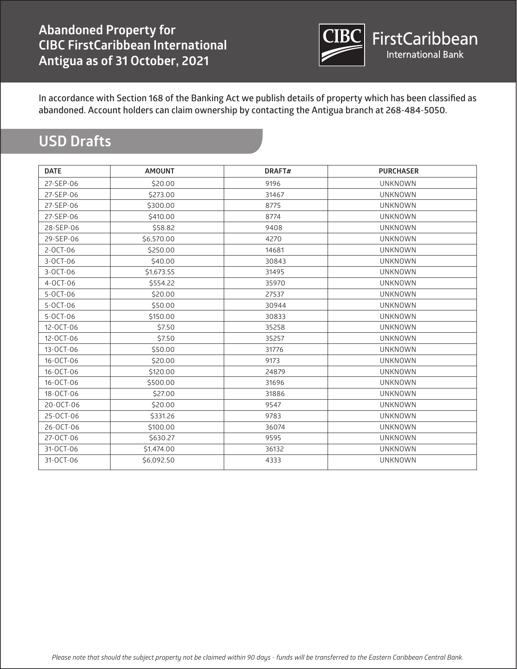

# **USD Drafts**

| <b>DATE</b>    | <b>AMOUNT</b> | DRAFT# | <b>PURCHASER</b> |
|----------------|---------------|--------|------------------|
| 27-SEP-06      | \$20.00       | 9196   | <b>UNKNOWN</b>   |
| 27-SEP-06      | \$273.00      | 31467  | <b>UNKNOWN</b>   |
| 27-SEP-06      | \$300.00      | 8775   | <b>UNKNOWN</b>   |
| 27-SEP-06      | \$410.00      | 8774   | <b>UNKNOWN</b>   |
| 28-SEP-06      | \$58.82       | 9408   | <b>UNKNOWN</b>   |
| 29-SEP-06      | \$6,570.00    | 4270   | <b>UNKNOWN</b>   |
| $2 - OCT - 06$ | \$250.00      | 14681  | <b>UNKNOWN</b>   |
| $3-0CT-06$     | \$40.00       | 30843  | <b>UNKNOWN</b>   |
| $3-0CT-06$     | \$1,673.55    | 31495  | <b>UNKNOWN</b>   |
| 4-OCT-06       | \$554.22      | 35970  | <b>UNKNOWN</b>   |
| 5-OCT-06       | \$20.00       | 27537  | <b>UNKNOWN</b>   |
| 5-OCT-06       | \$50.00       | 30944  | <b>UNKNOWN</b>   |
| 5-OCT-06       | \$150.00      | 30833  | <b>UNKNOWN</b>   |
| 12-OCT-06      | \$7.50        | 35258  | <b>UNKNOWN</b>   |
| 12-OCT-06      | \$7.50        | 35257  | <b>UNKNOWN</b>   |
| 13-OCT-06      | \$50.00       | 31776  | <b>UNKNOWN</b>   |
| 16-OCT-06      | \$20.00       | 9173   | <b>UNKNOWN</b>   |
| 16-OCT-06      | \$120.00      | 24879  | <b>UNKNOWN</b>   |
| 16-OCT-06      | \$500.00      | 31696  | <b>UNKNOWN</b>   |
| 18-OCT-06      | \$27.00       | 31886  | <b>UNKNOWN</b>   |
| 20-OCT-06      | \$20.00       | 9547   | <b>UNKNOWN</b>   |
| 25-OCT-06      | \$331.26      | 9783   | <b>UNKNOWN</b>   |
| 26-OCT-06      | \$100.00      | 36074  | <b>UNKNOWN</b>   |
| 27-OCT-06      | \$630.27      | 9595   | <b>UNKNOWN</b>   |
| 31-OCT-06      | \$1,474.00    | 36132  | <b>UNKNOWN</b>   |
| 31-OCT-06      | \$6,092.50    | 4333   | <b>UNKNOWN</b>   |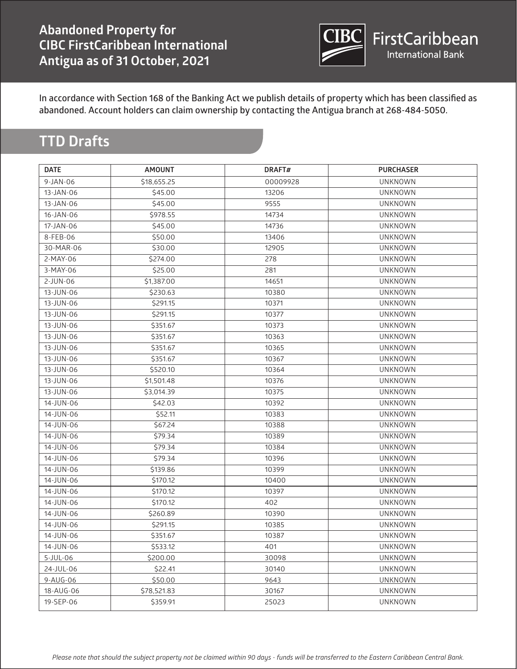

#### **TTD Drafts**

| 9-JAN-06<br>\$18,655.25<br>00009928<br><b>UNKNOWN</b><br>13-JAN-06<br>\$45.00<br>13206<br><b>UNKNOWN</b><br>9555<br><b>UNKNOWN</b><br>13-JAN-06<br>\$45.00<br><b>UNKNOWN</b><br>16-JAN-06<br>\$978.55<br>14734<br>17-JAN-06<br>\$45.00<br>14736<br><b>UNKNOWN</b><br>8-FEB-06<br>\$50.00<br>13406<br><b>UNKNOWN</b> |  |
|---------------------------------------------------------------------------------------------------------------------------------------------------------------------------------------------------------------------------------------------------------------------------------------------------------------------|--|
|                                                                                                                                                                                                                                                                                                                     |  |
|                                                                                                                                                                                                                                                                                                                     |  |
|                                                                                                                                                                                                                                                                                                                     |  |
|                                                                                                                                                                                                                                                                                                                     |  |
|                                                                                                                                                                                                                                                                                                                     |  |
|                                                                                                                                                                                                                                                                                                                     |  |
| 30-MAR-06<br><b>UNKNOWN</b><br>\$30.00<br>12905                                                                                                                                                                                                                                                                     |  |
| 2-MAY-06<br><b>UNKNOWN</b><br>\$274.00<br>278                                                                                                                                                                                                                                                                       |  |
| \$25.00<br><b>UNKNOWN</b><br>3-MAY-06<br>281                                                                                                                                                                                                                                                                        |  |
| 2-JUN-06<br>\$1,387.00<br>14651<br><b>UNKNOWN</b>                                                                                                                                                                                                                                                                   |  |
| <b>UNKNOWN</b><br>13-JUN-06<br>\$230.63<br>10380                                                                                                                                                                                                                                                                    |  |
| <b>UNKNOWN</b><br>13-JUN-06<br>\$291.15<br>10371                                                                                                                                                                                                                                                                    |  |
| 13-JUN-06<br>\$291.15<br>10377<br><b>UNKNOWN</b>                                                                                                                                                                                                                                                                    |  |
| <b>UNKNOWN</b><br>13-JUN-06<br>\$351.67<br>10373                                                                                                                                                                                                                                                                    |  |
| <b>UNKNOWN</b><br>13-JUN-06<br>\$351.67<br>10363                                                                                                                                                                                                                                                                    |  |
| 13-JUN-06<br>\$351.67<br>10365<br><b>UNKNOWN</b>                                                                                                                                                                                                                                                                    |  |
| \$351.67<br><b>UNKNOWN</b><br>13-JUN-06<br>10367                                                                                                                                                                                                                                                                    |  |
| 13-JUN-06<br>\$520.10<br>10364<br><b>UNKNOWN</b>                                                                                                                                                                                                                                                                    |  |
| 13-JUN-06<br>\$1,501.48<br>10376<br><b>UNKNOWN</b>                                                                                                                                                                                                                                                                  |  |
| 13-JUN-06<br>\$3,014.39<br>10375<br><b>UNKNOWN</b>                                                                                                                                                                                                                                                                  |  |
| 14-JUN-06<br>10392<br><b>UNKNOWN</b><br>\$42.03                                                                                                                                                                                                                                                                     |  |
| <b>UNKNOWN</b><br>14-JUN-06<br>\$52.11<br>10383                                                                                                                                                                                                                                                                     |  |
| 14-JUN-06<br><b>UNKNOWN</b><br>\$67.24<br>10388                                                                                                                                                                                                                                                                     |  |
| <b>UNKNOWN</b><br>14-JUN-06<br>\$79.34<br>10389                                                                                                                                                                                                                                                                     |  |
| <b>UNKNOWN</b><br>14-JUN-06<br>\$79.34<br>10384                                                                                                                                                                                                                                                                     |  |
| \$79.34<br><b>UNKNOWN</b><br>14-JUN-06<br>10396                                                                                                                                                                                                                                                                     |  |
| 14-JUN-06<br>\$139.86<br>10399<br><b>UNKNOWN</b>                                                                                                                                                                                                                                                                    |  |
| 14-JUN-06<br>\$170.12<br>10400<br><b>UNKNOWN</b>                                                                                                                                                                                                                                                                    |  |
| 14-JUN-06<br>10397<br><b>UNKNOWN</b><br>\$170.12                                                                                                                                                                                                                                                                    |  |
| <b>UNKNOWN</b><br>14-JUN-06<br>\$170.12<br>402                                                                                                                                                                                                                                                                      |  |
| 14-JUN-06<br>10390<br><b>UNKNOWN</b><br>\$260.89                                                                                                                                                                                                                                                                    |  |
| \$291.15<br>10385<br><b>UNKNOWN</b><br>14-JUN-06                                                                                                                                                                                                                                                                    |  |
| 14-JUN-06<br>\$351.67<br>UNKNOWN<br>10387                                                                                                                                                                                                                                                                           |  |
| 14-JUN-06<br>\$533.12<br>401<br><b>UNKNOWN</b>                                                                                                                                                                                                                                                                      |  |
| 5-JUL-06<br>\$200.00<br>30098<br><b>UNKNOWN</b>                                                                                                                                                                                                                                                                     |  |
| 24-JUL-06<br>30140<br><b>UNKNOWN</b><br>\$22.41                                                                                                                                                                                                                                                                     |  |
| 9-AUG-06<br>\$50.00<br>9643<br><b>UNKNOWN</b>                                                                                                                                                                                                                                                                       |  |
| 18-AUG-06<br>\$78,521.83<br>30167<br><b>UNKNOWN</b>                                                                                                                                                                                                                                                                 |  |
| 19-SEP-06<br>\$359.91<br>25023<br><b>UNKNOWN</b>                                                                                                                                                                                                                                                                    |  |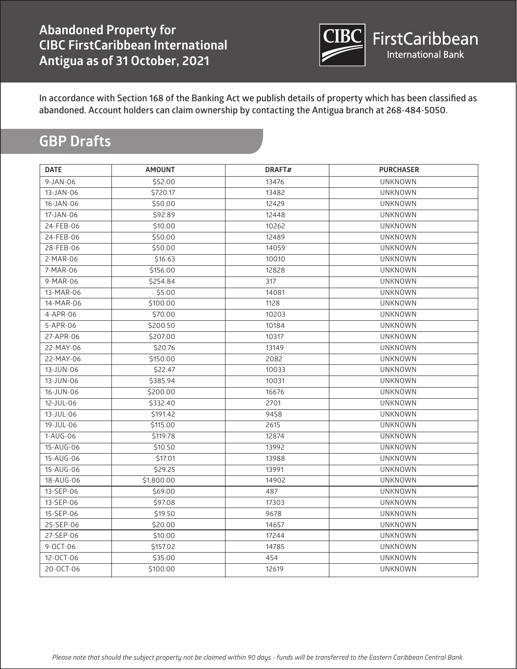

# **GBP Drafts**

| <b>DATE</b>     | <b>AMOUNT</b> | DRAFT# | <b>PURCHASER</b> |
|-----------------|---------------|--------|------------------|
| 9-JAN-06        | \$52.00       | 13476  | <b>UNKNOWN</b>   |
| 13-JAN-06       | \$720.17      | 13482  | <b>UNKNOWN</b>   |
| 16-JAN-06       | \$50.00       | 12429  | <b>UNKNOWN</b>   |
| 17-JAN-06       | \$92.89       | 12448  | <b>UNKNOWN</b>   |
| 24-FEB-06       | \$10.00       | 10262  | <b>UNKNOWN</b>   |
| 24-FEB-06       | \$50.00       | 12489  | <b>UNKNOWN</b>   |
| 28-FEB-06       | \$50.00       | 14059  | <b>UNKNOWN</b>   |
| 2-MAR-06        | \$16.63       | 10010  | <b>UNKNOWN</b>   |
| 7-MAR-06        | \$156.00      | 12828  | <b>UNKNOWN</b>   |
| 9-MAR-06        | \$254.84      | 317    | <b>UNKNOWN</b>   |
| 13-MAR-06       | \$5.00        | 14081  | <b>UNKNOWN</b>   |
| 14-MAR-06       | \$100.00      | 1128   | <b>UNKNOWN</b>   |
| 4-APR-06        | \$70.00       | 10203  | <b>UNKNOWN</b>   |
| 5-APR-06        | \$200.50      | 10184  | <b>UNKNOWN</b>   |
| 27-APR-06       | \$207.00      | 10317  | <b>UNKNOWN</b>   |
| 22-MAY-06       | \$20.76       | 13149  | <b>UNKNOWN</b>   |
| 22-MAY-06       | \$150.00      | 2082   | <b>UNKNOWN</b>   |
| 13-JUN-06       | \$22.47       | 10033  | <b>UNKNOWN</b>   |
| 13-JUN-06       | \$385.94      | 10031  | <b>UNKNOWN</b>   |
| 16-JUN-06       | \$200.00      | 16676  | <b>UNKNOWN</b>   |
| 12-JUL-06       | \$332.40      | 2701   | <b>UNKNOWN</b>   |
| $13 - JUL - 06$ | \$191.42      | 9458   | <b>UNKNOWN</b>   |
| 19-JUL-06       | \$115.00      | 2615   | <b>UNKNOWN</b>   |
| 1-AUG-06        | \$119.78      | 12874  | <b>UNKNOWN</b>   |
| 15-AUG-06       | \$10.50       | 13992  | <b>UNKNOWN</b>   |
| 15-AUG-06       | \$17.01       | 13988  | <b>UNKNOWN</b>   |
| 15-AUG-06       | \$29.25       | 13991  | <b>UNKNOWN</b>   |
| 18-AUG-06       | \$1,800.00    | 14902  | <b>UNKNOWN</b>   |
| 13-SEP-06       | \$69.00       | 487    | <b>UNKNOWN</b>   |
| 13-SEP-06       | \$97.08       | 17303  | <b>UNKNOWN</b>   |
| 15-SEP-06       | \$19.50       | 9678   | <b>UNKNOWN</b>   |
| 25-SEP-06       | \$20.00       | 14657  | <b>UNKNOWN</b>   |
| 27-SEP-06       | \$10.00       | 17244  | <b>UNKNOWN</b>   |
| 9-OCT-06        | \$157.02      | 14785  | <b>UNKNOWN</b>   |
| 12-OCT-06       | \$35.00       | 454    | <b>UNKNOWN</b>   |
| 20-OCT-06       | \$100.00      | 12619  | <b>UNKNOWN</b>   |
|                 |               |        |                  |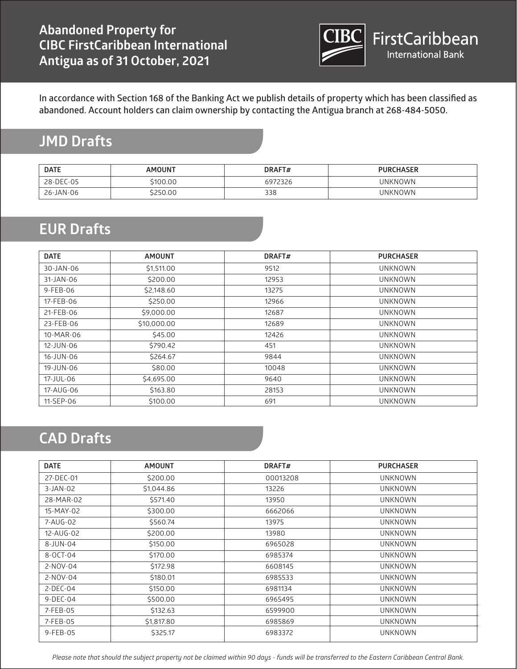

# **JMD Drafts**

| <b>DATE</b> | <b>AMOUNT</b> | DRAFT#  | <b>PURCHASER</b> |
|-------------|---------------|---------|------------------|
| 28-DEC-05   | 5100.00       | 6972326 | UNKNOWN          |
| 26-JAN-06   | 250.00        | 338     | <b>UNKNOWN</b>   |

### **EUR Drafts**

| <b>DATE</b> | <b>AMOUNT</b> | DRAFT# | <b>PURCHASER</b> |
|-------------|---------------|--------|------------------|
| 30-JAN-06   | \$1,511.00    | 9512   | <b>UNKNOWN</b>   |
| 31-JAN-06   | \$200.00      | 12953  | <b>UNKNOWN</b>   |
| 9-FEB-06    | \$2,148.60    | 13275  | <b>UNKNOWN</b>   |
| 17-FEB-06   | \$250.00      | 12966  | <b>UNKNOWN</b>   |
| 21-FEB-06   | \$9,000.00    | 12687  | <b>UNKNOWN</b>   |
| 23-FEB-06   | \$10,000.00   | 12689  | <b>UNKNOWN</b>   |
| 10-MAR-06   | \$45.00       | 12426  | <b>UNKNOWN</b>   |
| 12-JUN-06   | \$790.42      | 451    | <b>UNKNOWN</b>   |
| 16-JUN-06   | \$264.67      | 9844   | <b>UNKNOWN</b>   |
| 19-JUN-06   | \$80.00       | 10048  | <b>UNKNOWN</b>   |
| 17-JUL-06   | \$4,695.00    | 9640   | <b>UNKNOWN</b>   |
| 17-AUG-06   | \$163.80      | 28153  | <b>UNKNOWN</b>   |
| 11-SEP-06   | \$100.00      | 691    | <b>UNKNOWN</b>   |

#### **CAD Drafts**

| <b>DATE</b> | <b>AMOUNT</b> | DRAFT#   | <b>PURCHASER</b> |
|-------------|---------------|----------|------------------|
| 27-DEC-01   | \$200.00      | 00013208 | <b>UNKNOWN</b>   |
| $3-JAN-02$  | \$1,044.86    | 13226    | <b>UNKNOWN</b>   |
| 28-MAR-02   | \$571.40      | 13950    | <b>UNKNOWN</b>   |
| 15-MAY-02   | \$300.00      | 6662066  | <b>UNKNOWN</b>   |
| 7-AUG-02    | \$560.74      | 13975    | <b>UNKNOWN</b>   |
| 12-AUG-02   | \$200.00      | 13980    | <b>UNKNOWN</b>   |
| 8-JUN-04    | \$150.00      | 6965028  | <b>UNKNOWN</b>   |
| 8-OCT-04    | \$170.00      | 6985374  | <b>UNKNOWN</b>   |
| 2-NOV-04    | \$172.98      | 6608145  | <b>UNKNOWN</b>   |
| 2-NOV-04    | \$180.01      | 6985533  | <b>UNKNOWN</b>   |
| $2-DEC-04$  | \$150.00      | 6981134  | <b>UNKNOWN</b>   |
| $9-DEC-04$  | \$500.00      | 6965495  | <b>UNKNOWN</b>   |
| 7-FEB-05    | \$132.63      | 6599900  | <b>UNKNOWN</b>   |
| 7-FEB-05    | \$1,817.80    | 6985869  | <b>UNKNOWN</b>   |
| 9-FEB-05    | \$325.17      | 6983372  | <b>UNKNOWN</b>   |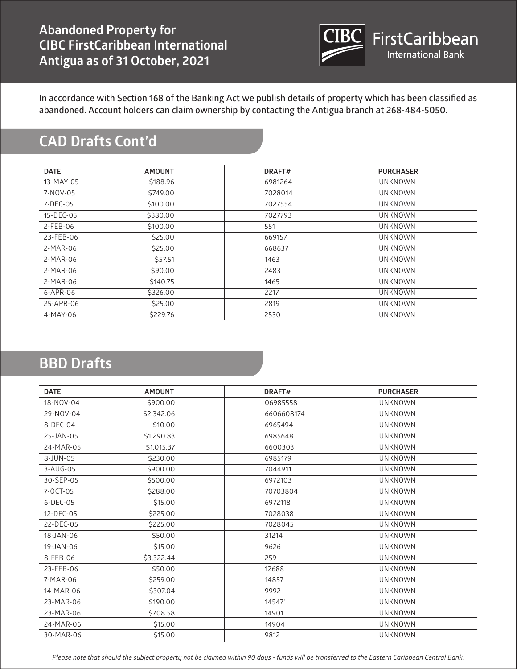

# **CAD Drafts Cont'd**

| <b>DATE</b> | <b>AMOUNT</b> | DRAFT#  | <b>PURCHASER</b> |
|-------------|---------------|---------|------------------|
| 13-MAY-05   | \$188.96      | 6981264 | <b>UNKNOWN</b>   |
| 7-NOV-05    | \$749.00      | 7028014 | <b>UNKNOWN</b>   |
| 7-DEC-05    | \$100.00      | 7027554 | <b>UNKNOWN</b>   |
| 15-DEC-05   | \$380.00      | 7027793 | <b>UNKNOWN</b>   |
| 2-FEB-06    | \$100.00      | 551     | <b>UNKNOWN</b>   |
| 23-FEB-06   | \$25.00       | 669157  | <b>UNKNOWN</b>   |
| 2-MAR-06    | \$25.00       | 668637  | <b>UNKNOWN</b>   |
| 2-MAR-06    | \$57.51       | 1463    | <b>UNKNOWN</b>   |
| 2-MAR-06    | \$90.00       | 2483    | <b>UNKNOWN</b>   |
| 2-MAR-06    | \$140.75      | 1465    | <b>UNKNOWN</b>   |
| 6-APR-06    | \$326.00      | 2217    | <b>UNKNOWN</b>   |
| 25-APR-06   | \$25.00       | 2819    | <b>UNKNOWN</b>   |
| 4-MAY-06    | \$229.76      | 2530    | <b>UNKNOWN</b>   |

#### **BBD Drafts**

| <b>DATE</b>     | <b>AMOUNT</b> | DRAFT#     | <b>PURCHASER</b> |
|-----------------|---------------|------------|------------------|
| 18-NOV-04       | \$900.00      | 06985558   | <b>UNKNOWN</b>   |
| 29-NOV-04       | \$2,342.06    | 6606608174 | <b>UNKNOWN</b>   |
| 8-DEC-04        | \$10.00       | 6965494    | <b>UNKNOWN</b>   |
| 25-JAN-05       | \$1,290.83    | 6985648    | <b>UNKNOWN</b>   |
| 24-MAR-05       | \$1,015.37    | 6600303    | <b>UNKNOWN</b>   |
| $8 - JUN - 05$  | \$230.00      | 6985179    | <b>UNKNOWN</b>   |
| $3 - A UG - 05$ | \$900.00      | 7044911    | <b>UNKNOWN</b>   |
| 30-SEP-05       | \$500.00      | 6972103    | <b>UNKNOWN</b>   |
| 7-OCT-05        | \$288.00      | 70703804   | <b>UNKNOWN</b>   |
| $6$ -DEC-05     | \$15.00       | 6972118    | <b>UNKNOWN</b>   |
| 12-DEC-05       | \$225.00      | 7028038    | <b>UNKNOWN</b>   |
| 22-DEC-05       | \$225.00      | 7028045    | <b>UNKNOWN</b>   |
| 18-JAN-06       | \$50.00       | 31214      | <b>UNKNOWN</b>   |
| 19-JAN-06       | \$15.00       | 9626       | <b>UNKNOWN</b>   |
| 8-FEB-06        | \$3,322.44    | 259        | <b>UNKNOWN</b>   |
| 23-FEB-06       | \$50.00       | 12688      | <b>UNKNOWN</b>   |
| 7-MAR-06        | \$259.00      | 14857      | <b>UNKNOWN</b>   |
| 14-MAR-06       | \$307.04      | 9992       | <b>UNKNOWN</b>   |
| 23-MAR-06       | \$190.00      | 14547'     | <b>UNKNOWN</b>   |
| 23-MAR-06       | \$708.58      | 14901      | <b>UNKNOWN</b>   |
| 24-MAR-06       | \$15.00       | 14904      | <b>UNKNOWN</b>   |
| 30-MAR-06       | \$15.00       | 9812       | <b>UNKNOWN</b>   |